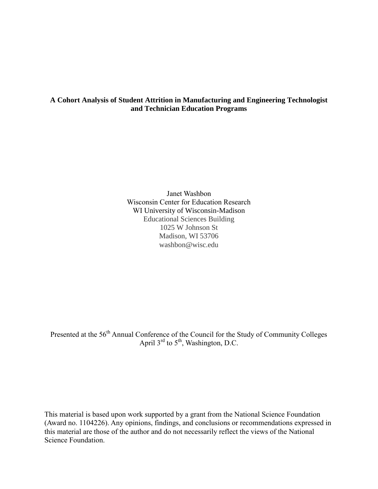## **A Cohort Analysis of Student Attrition in Manufacturing and Engineering Technologist and Technician Education Programs**

Janet Washbon Wisconsin Center for Education Research WI University of Wisconsin-Madison Educational Sciences Building 1025 W Johnson St Madison, WI 53706 washbon@wisc.edu

Presented at the 56<sup>th</sup> Annual Conference of the Council for the Study of Community Colleges April  $3^{\text{rd}}$  to  $5^{\text{th}}$ , Washington, D.C.

This material is based upon work supported by a grant from the National Science Foundation (Award no. 1104226). Any opinions, findings, and conclusions or recommendations expressed in this material are those of the author and do not necessarily reflect the views of the National Science Foundation.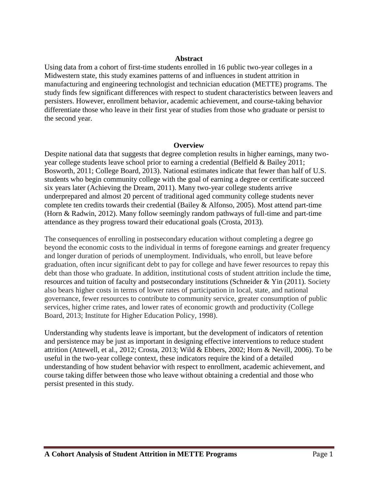#### **Abstract**

Using data from a cohort of first-time students enrolled in 16 public two-year colleges in a Midwestern state, this study examines patterns of and influences in student attrition in manufacturing and engineering technologist and technician education (METTE) programs. The study finds few significant differences with respect to student characteristics between leavers and persisters. However, enrollment behavior, academic achievement, and course-taking behavior differentiate those who leave in their first year of studies from those who graduate or persist to the second year.

#### **Overview**

Despite national data that suggests that degree completion results in higher earnings, many twoyear college students leave school prior to earning a credential (Belfield & Bailey 2011; Bosworth, 2011; College Board, 2013). National estimates indicate that fewer than half of U.S. students who begin community college with the goal of earning a degree or certificate succeed six years later (Achieving the Dream, 2011). Many two-year college students arrive underprepared and almost 20 percent of traditional aged community college students never complete ten credits towards their credential (Bailey & Alfonso, 2005). Most attend part-time (Horn & Radwin, 2012). Many follow seemingly random pathways of full-time and part-time attendance as they progress toward their educational goals (Crosta, 2013).

The consequences of enrolling in postsecondary education without completing a degree go beyond the economic costs to the individual in terms of foregone earnings and greater frequency and longer duration of periods of unemployment. Individuals, who enroll, but leave before graduation, often incur significant debt to pay for college and have fewer resources to repay this debt than those who graduate. In addition, institutional costs of student attrition include the time, resources and tuition of faculty and postsecondary institutions (Schneider & Yin (2011). Society also bears higher costs in terms of lower rates of participation in local, state, and national governance, fewer resources to contribute to community service, greater consumption of public services, higher crime rates, and lower rates of economic growth and productivity (College Board, 2013; Institute for Higher Education Policy, 1998).

Understanding why students leave is important, but the development of indicators of retention and persistence may be just as important in designing effective interventions to reduce student attrition (Attewell, et al., 2012; Crosta, 2013; Wild & Ebbers, 2002; Horn & Nevill, 2006). To be useful in the two-year college context, these indicators require the kind of a detailed understanding of how student behavior with respect to enrollment, academic achievement, and course taking differ between those who leave without obtaining a credential and those who persist presented in this study.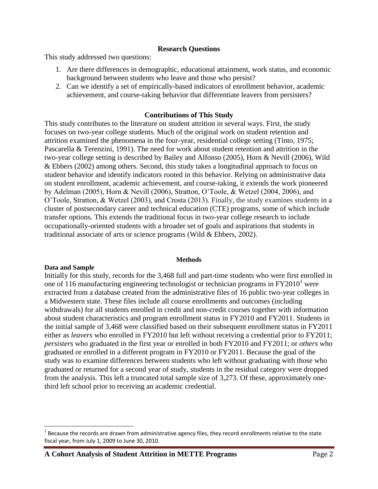## **Research Questions**

This study addressed two questions:

- 1. Are there differences in demographic, educational attainment, work status, and economic background between students who leave and those who persist?
- 2. Can we identify a set of empirically-based indicators of enrollment behavior, academic achievement, and course-taking behavior that differentiate leavers from persisters?

## **Contributions of This Study**

This study contributes to the literature on student attrition in several ways. First, the study focuses on two-year college students. Much of the original work on student retention and attrition examined the phenomena in the four-year, residential college setting (Tinto, 1975; Pascarella & Terenzini, 1991). The need for work about student retention and attrition in the two-year college setting is described by Bailey and Alfonso (2005), Horn & Nevill (2006), Wild & Ebbers (2002) among others. Second, this study takes a longitudinal approach to focus on student behavior and identify indicators rooted in this behavior. Relying on administrative data on student enrollment, academic achievement, and course-taking, it extends the work pioneered by Adelman (2005), Horn & Nevill (2006), Stratton, O'Toole, & Wetzel (2004, 2006), and O'Toole, Stratton, & Wetzel (2003), and Crosta (2013). Finally, the study examines students in a cluster of postsecondary career and technical education (CTE) programs, some of which include transfer options. This extends the traditional focus in two-year college research to include occupationally-oriented students with a broader set of goals and aspirations that students in traditional associate of arts or science programs (Wild & Ebbers, 2002).

#### **Methods**

#### **Data and Sample**

l

Initially for this study, records for the 3,468 full and part-time students who were first enrolled in one of 116 manufacturing engineering technologist or technician programs in  $FY2010<sup>1</sup>$  were extracted from a database created from the administrative files of 16 public two-year colleges in a Midwestern state. These files include all course enrollments and outcomes (including withdrawals) for all students enrolled in credit and non-credit courses together with information about student characteristics and program enrollment status in FY2010 and FY2011. Students in the initial sample of 3,468 were classified based on their subsequent enrollment status in FY2011 either as *leavers* who enrolled in FY2010 but left without receiving a credential prior to FY2011; *persisters* who graduated in the first year or enrolled in both FY2010 and FY2011; or *others* who graduated or enrolled in a different program in FY2010 or FY2011. Because the goal of the study was to examine differences between students who left without graduating with those who graduated or returned for a second year of study, students in the residual category were dropped from the analysis. This left a truncated total sample size of 3,273. Of these, approximately onethird left school prior to receiving an academic credential.

 $^1$  Because the records are drawn from administrative agency files, they record enrollments relative to the state fiscal year, from July 1, 2009 to June 30, 2010.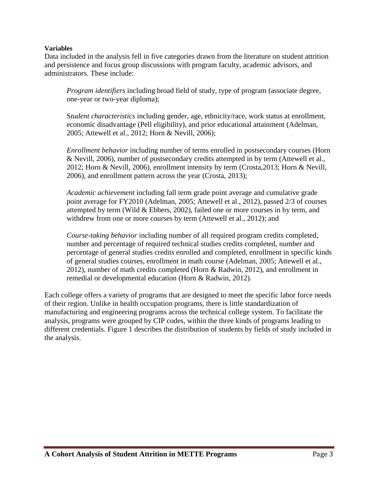#### **Variables**

Data included in the analysis fell in five categories drawn from the literature on student attrition and persistence and focus group discussions with program faculty, academic advisors, and administrators. These include:

*Program identifiers* including broad field of study, type of program (associate degree, one-year or two-year diploma);

S*tudent characteristics* including gender, age, ethnicity/race, work status at enrollment, economic disadvantage (Pell eligibility), and prior educational attainment (Adelman, 2005; Attewell et al., 2012; Horn & Nevill, 2006);

*Enrollment behavior* including number of terms enrolled in postsecondary courses (Horn & Nevill, 2006), number of postsecondary credits attempted in by term (Attewell et al., 2012; Horn & Nevill, 2006), enrollment intensity by term (Crosta,2013; Horn & Nevill, 2006), and enrollment pattern across the year (Crosta, 2013);

*Academic achievement* including fall term grade point average and cumulative grade point average for FY2010 (Adelman, 2005; Attewell et al., 2012), passed 2/3 of courses attempted by term (Wild & Ebbers, 2002), failed one or more courses in by term, and withdrew from one or more courses by term (Attewell et al., 2012); and

*Course-taking behavior* including number of all required program credits completed, number and percentage of required technical studies credits completed, number and percentage of general studies credits enrolled and completed, enrollment in specific kinds of general studies courses, enrollment in math course (Adelman, 2005; Attewell et al., 2012), number of math credits completed (Horn & Radwin, 2012), and enrollment in remedial or developmental education (Horn & Radwin, 2012).

Each college offers a variety of programs that are designed to meet the specific labor force needs of their region. Unlike in health occupation programs, there is little standardization of manufacturing and engineering programs across the technical college system. To facilitate the analysis, programs were grouped by CIP codes, within the three kinds of programs leading to different credentials. Figure 1 describes the distribution of students by fields of study included in the analysis.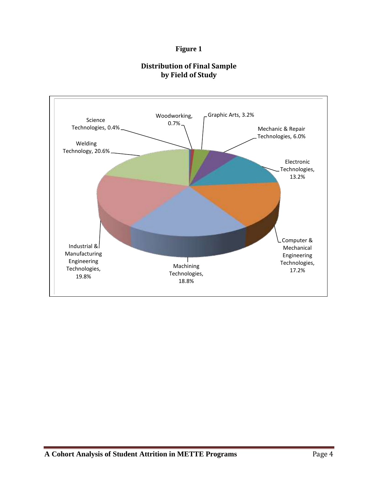# **Figure 1**

# **Distribution of Final Sample by Field of Study**

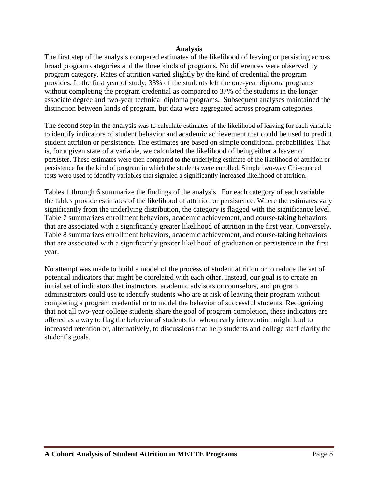#### **Analysis**

The first step of the analysis compared estimates of the likelihood of leaving or persisting across broad program categories and the three kinds of programs. No differences were observed by program category. Rates of attrition varied slightly by the kind of credential the program provides. In the first year of study, 33% of the students left the one-year diploma programs without completing the program credential as compared to 37% of the students in the longer associate degree and two-year technical diploma programs. Subsequent analyses maintained the distinction between kinds of program, but data were aggregated across program categories.

The second step in the analysis was to calculate estimates of the likelihood of leaving for each variable to identify indicators of student behavior and academic achievement that could be used to predict student attrition or persistence. The estimates are based on simple conditional probabilities. That is, for a given state of a variable, we calculated the likelihood of being either a leaver of persister. These estimates were then compared to the underlying estimate of the likelihood of attrition or persistence for the kind of program in which the students were enrolled. Simple two-way Chi-squared tests were used to identify variables that signaled a significantly increased likelihood of attrition.

Tables 1 through 6 summarize the findings of the analysis. For each category of each variable the tables provide estimates of the likelihood of attrition or persistence. Where the estimates vary significantly from the underlying distribution, the category is flagged with the significance level. Table 7 summarizes enrollment behaviors, academic achievement, and course-taking behaviors that are associated with a significantly greater likelihood of attrition in the first year. Conversely, Table 8 summarizes enrollment behaviors, academic achievement, and course-taking behaviors that are associated with a significantly greater likelihood of graduation or persistence in the first year.

No attempt was made to build a model of the process of student attrition or to reduce the set of potential indicators that might be correlated with each other. Instead, our goal is to create an initial set of indicators that instructors, academic advisors or counselors, and program administrators could use to identify students who are at risk of leaving their program without completing a program credential or to model the behavior of successful students. Recognizing that not all two-year college students share the goal of program completion, these indicators are offered as a way to flag the behavior of students for whom early intervention might lead to increased retention or, alternatively, to discussions that help students and college staff clarify the student's goals.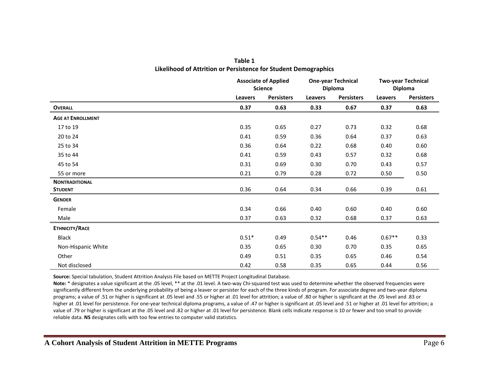|                          |         | <b>Associate of Applied</b><br><b>Science</b> |          | <b>One-year Technical</b><br>Diploma |                | <b>Two-year Technical</b><br>Diploma |
|--------------------------|---------|-----------------------------------------------|----------|--------------------------------------|----------------|--------------------------------------|
|                          | Leavers | <b>Persisters</b>                             | Leavers  | <b>Persisters</b>                    | <b>Leavers</b> | <b>Persisters</b>                    |
| <b>OVERALL</b>           | 0.37    | 0.63                                          | 0.33     | 0.67                                 | 0.37           | 0.63                                 |
| <b>AGE AT ENROLLMENT</b> |         |                                               |          |                                      |                |                                      |
| 17 to 19                 | 0.35    | 0.65                                          | 0.27     | 0.73                                 | 0.32           | 0.68                                 |
| 20 to 24                 | 0.41    | 0.59                                          | 0.36     | 0.64                                 | 0.37           | 0.63                                 |
| 25 to 34                 | 0.36    | 0.64                                          | 0.22     | 0.68                                 | 0.40           | 0.60                                 |
| 35 to 44                 | 0.41    | 0.59                                          | 0.43     | 0.57                                 | 0.32           | 0.68                                 |
| 45 to 54                 | 0.31    | 0.69                                          | 0.30     | 0.70                                 | 0.43           | 0.57                                 |
| 55 or more               | 0.21    | 0.79                                          | 0.28     | 0.72                                 | 0.50           | 0.50                                 |
| <b>NONTRADITIONAL</b>    |         |                                               |          |                                      |                |                                      |
| <b>STUDENT</b>           | 0.36    | 0.64                                          | 0.34     | 0.66                                 | 0.39           | 0.61                                 |
| <b>GENDER</b>            |         |                                               |          |                                      |                |                                      |
| Female                   | 0.34    | 0.66                                          | 0.40     | 0.60                                 | 0.40           | 0.60                                 |
| Male                     | 0.37    | 0.63                                          | 0.32     | 0.68                                 | 0.37           | 0.63                                 |
| ETHNICITY/RACE           |         |                                               |          |                                      |                |                                      |
| <b>Black</b>             | $0.51*$ | 0.49                                          | $0.54**$ | 0.46                                 | $0.67**$       | 0.33                                 |
| Non-Hispanic White       | 0.35    | 0.65                                          | 0.30     | 0.70                                 | 0.35           | 0.65                                 |
| Other                    | 0.49    | 0.51                                          | 0.35     | 0.65                                 | 0.46           | 0.54                                 |
| Not disclosed            | 0.42    | 0.58                                          | 0.35     | 0.65                                 | 0.44           | 0.56                                 |

## **Table 1 Likelihood of Attrition or Persistence for Student Demographics**

**Source:** Special tabulation, Student Attrition Analysis File based on METTE Project Longitudinal Database.

**Note:** \* designates a value significant at the .05 level, \*\* at the .01 level. A two-way Chi-squared test was used to determine whether the observed frequencies were significantly different from the underlying probability of being a leaver or persister for each of the three kinds of program. For associate degree and two-year diploma programs; a value of .51 or higher is significant at .05 level and .55 or higher at .01 level for attrition; a value of .80 or higher is significant at the .05 level and .83 or higher at .01 level for persistence. For one-year technical diploma programs, a value of .47 or higher is significant at .05 level and .51 or higher at .01 level for attrition; a value of .79 or higher is significant at the .05 level and .82 or higher at .01 level for persistence. Blank cells indicate response is 10 or fewer and too small to provide reliable data. **NS** designates cells with too few entries to computer valid statistics.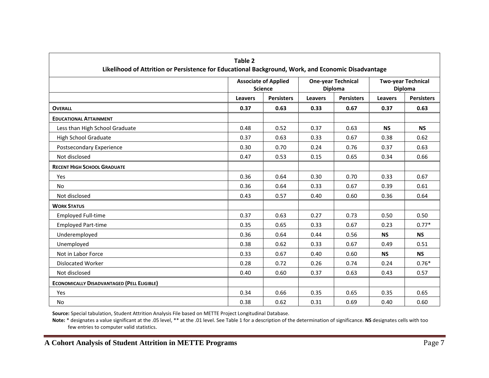| Table 2<br>Likelihood of Attrition or Persistence for Educational Background, Work, and Economic Disadvantage |                |                                               |                |                                      |                |                                      |
|---------------------------------------------------------------------------------------------------------------|----------------|-----------------------------------------------|----------------|--------------------------------------|----------------|--------------------------------------|
|                                                                                                               |                | <b>Associate of Applied</b><br><b>Science</b> |                | <b>One-year Technical</b><br>Diploma |                | <b>Two-year Technical</b><br>Diploma |
|                                                                                                               | <b>Leavers</b> | <b>Persisters</b>                             | <b>Leavers</b> | <b>Persisters</b>                    | <b>Leavers</b> | <b>Persisters</b>                    |
| <b>OVERALL</b>                                                                                                | 0.37           | 0.63                                          | 0.33           | 0.67                                 | 0.37           | 0.63                                 |
| <b>EDUCATIONAL ATTAINMENT</b>                                                                                 |                |                                               |                |                                      |                |                                      |
| Less than High School Graduate                                                                                | 0.48           | 0.52                                          | 0.37           | 0.63                                 | <b>NS</b>      | <b>NS</b>                            |
| <b>High School Graduate</b>                                                                                   | 0.37           | 0.63                                          | 0.33           | 0.67                                 | 0.38           | 0.62                                 |
| Postsecondary Experience                                                                                      | 0.30           | 0.70                                          | 0.24           | 0.76                                 | 0.37           | 0.63                                 |
| Not disclosed                                                                                                 | 0.47           | 0.53                                          | 0.15           | 0.65                                 | 0.34           | 0.66                                 |
| <b>RECENT HIGH SCHOOL GRADUATE</b>                                                                            |                |                                               |                |                                      |                |                                      |
| Yes                                                                                                           | 0.36           | 0.64                                          | 0.30           | 0.70                                 | 0.33           | 0.67                                 |
| <b>No</b>                                                                                                     | 0.36           | 0.64                                          | 0.33           | 0.67                                 | 0.39           | 0.61                                 |
| Not disclosed                                                                                                 | 0.43           | 0.57                                          | 0.40           | 0.60                                 | 0.36           | 0.64                                 |
| <b>WORK STATUS</b>                                                                                            |                |                                               |                |                                      |                |                                      |
| <b>Employed Full-time</b>                                                                                     | 0.37           | 0.63                                          | 0.27           | 0.73                                 | 0.50           | 0.50                                 |
| <b>Employed Part-time</b>                                                                                     | 0.35           | 0.65                                          | 0.33           | 0.67                                 | 0.23           | $0.77*$                              |
| Underemployed                                                                                                 | 0.36           | 0.64                                          | 0.44           | 0.56                                 | <b>NS</b>      | <b>NS</b>                            |
| Unemployed                                                                                                    | 0.38           | 0.62                                          | 0.33           | 0.67                                 | 0.49           | 0.51                                 |
| Not in Labor Force                                                                                            | 0.33           | 0.67                                          | 0.40           | 0.60                                 | <b>NS</b>      | <b>NS</b>                            |
| <b>Dislocated Worker</b>                                                                                      | 0.28           | 0.72                                          | 0.26           | 0.74                                 | 0.24           | $0.76*$                              |
| Not disclosed                                                                                                 | 0.40           | 0.60                                          | 0.37           | 0.63                                 | 0.43           | 0.57                                 |
| <b>ECONOMICALLY DISADVANTAGED (PELL ELIGIBLE)</b>                                                             |                |                                               |                |                                      |                |                                      |
| Yes                                                                                                           | 0.34           | 0.66                                          | 0.35           | 0.65                                 | 0.35           | 0.65                                 |
| <b>No</b>                                                                                                     | 0.38           | 0.62                                          | 0.31           | 0.69                                 | 0.40           | 0.60                                 |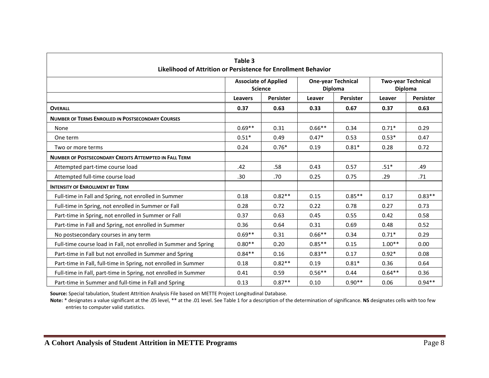| Table 3<br>Likelihood of Attrition or Persistence for Enrollment Behavior |                                               |                  |                                             |           |                                             |                  |
|---------------------------------------------------------------------------|-----------------------------------------------|------------------|---------------------------------------------|-----------|---------------------------------------------|------------------|
|                                                                           | <b>Associate of Applied</b><br><b>Science</b> |                  | <b>One-year Technical</b><br><b>Diploma</b> |           | <b>Two-year Technical</b><br><b>Diploma</b> |                  |
|                                                                           | <b>Leavers</b>                                | <b>Persister</b> | Leaver                                      | Persister | Leaver                                      | <b>Persister</b> |
| <b>OVERALL</b>                                                            | 0.37                                          | 0.63             | 0.33                                        | 0.67      | 0.37                                        | 0.63             |
| <b>NUMBER OF TERMS ENROLLED IN POSTSECONDARY COURSES</b>                  |                                               |                  |                                             |           |                                             |                  |
| None                                                                      | $0.69**$                                      | 0.31             | $0.66**$                                    | 0.34      | $0.71*$                                     | 0.29             |
| One term                                                                  | $0.51*$                                       | 0.49             | $0.47*$                                     | 0.53      | $0.53*$                                     | 0.47             |
| Two or more terms                                                         | 0.24                                          | $0.76*$          | 0.19                                        | $0.81*$   | 0.28                                        | 0.72             |
| <b>NUMBER OF POSTSECONDARY CREDITS ATTEMPTED IN FALL TERM</b>             |                                               |                  |                                             |           |                                             |                  |
| Attempted part-time course load                                           | .42                                           | .58              | 0.43                                        | 0.57      | $.51*$                                      | .49              |
| Attempted full-time course load                                           | .30                                           | .70              | 0.25                                        | 0.75      | .29                                         | .71              |
| <b>INTENSITY OF ENROLLMENT BY TERM</b>                                    |                                               |                  |                                             |           |                                             |                  |
| Full-time in Fall and Spring, not enrolled in Summer                      | 0.18                                          | $0.82**$         | 0.15                                        | $0.85**$  | 0.17                                        | $0.83**$         |
| Full-time in Spring, not enrolled in Summer or Fall                       | 0.28                                          | 0.72             | 0.22                                        | 0.78      | 0.27                                        | 0.73             |
| Part-time in Spring, not enrolled in Summer or Fall                       | 0.37                                          | 0.63             | 0.45                                        | 0.55      | 0.42                                        | 0.58             |
| Part-time in Fall and Spring, not enrolled in Summer                      | 0.36                                          | 0.64             | 0.31                                        | 0.69      | 0.48                                        | 0.52             |
| No postsecondary courses in any term                                      | $0.69**$                                      | 0.31             | $0.66**$                                    | 0.34      | $0.71*$                                     | 0.29             |
| Full-time course load in Fall, not enrolled in Summer and Spring          | $0.80**$                                      | 0.20             | $0.85**$                                    | 0.15      | $1.00**$                                    | 0.00             |
| Part-time in Fall but not enrolled in Summer and Spring                   | $0.84**$                                      | 0.16             | $0.83**$                                    | 0.17      | $0.92*$                                     | 0.08             |
| Part-time in Fall, full-time in Spring, not enrolled in Summer            | 0.18                                          | $0.82**$         | 0.19                                        | $0.81*$   | 0.36                                        | 0.64             |
| Full-time in Fall, part-time in Spring, not enrolled in Summer            | 0.41                                          | 0.59             | $0.56**$                                    | 0.44      | $0.64**$                                    | 0.36             |
| Part-time in Summer and full-time in Fall and Spring                      | 0.13                                          | $0.87**$         | 0.10                                        | $0.90**$  | 0.06                                        | $0.94**$         |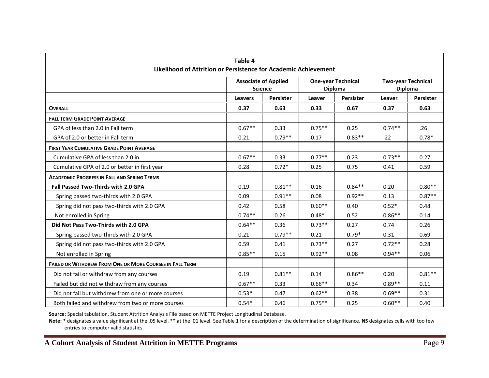| Table 4<br>Likelihood of Attrition or Persistence for Academic Achievement |                |                                               |           |                                             |          |                                             |
|----------------------------------------------------------------------------|----------------|-----------------------------------------------|-----------|---------------------------------------------|----------|---------------------------------------------|
|                                                                            |                | <b>Associate of Applied</b><br><b>Science</b> |           | <b>One-year Technical</b><br><b>Diploma</b> |          | <b>Two-year Technical</b><br><b>Diploma</b> |
|                                                                            | <b>Leavers</b> | <b>Persister</b>                              | Leaver    | <b>Persister</b>                            | Leaver   | <b>Persister</b>                            |
| <b>OVERALL</b>                                                             | 0.37           | 0.63                                          | 0.33      | 0.67                                        | 0.37     | 0.63                                        |
| <b>FALL TERM GRADE POINT AVERAGE</b>                                       |                |                                               |           |                                             |          |                                             |
| GPA of less than 2.0 in Fall term                                          | $0.67**$       | 0.33                                          | $0.75***$ | 0.25                                        | $0.74**$ | .26                                         |
| GPA of 2.0 or better in Fall term                                          | 0.21           | $0.79**$                                      | 0.17      | $0.83**$                                    | .22      | $0.78*$                                     |
| <b>FIRST YEAR CUMULATIVE GRADE POINT AVERAGE</b>                           |                |                                               |           |                                             |          |                                             |
| Cumulative GPA of less than 2.0 in                                         | $0.67**$       | 0.33                                          | $0.77**$  | 0.23                                        | $0.73**$ | 0.27                                        |
| Cumulative GPA of 2.0 or better in first year                              | 0.28           | $0.72*$                                       | 0.25      | 0.75                                        | 0.41     | 0.59                                        |
| <b>ACADEDMIC PROGRESS IN FALL AND SPRING TERMS</b>                         |                |                                               |           |                                             |          |                                             |
| Fall Passed Two-Thirds with 2.0 GPA                                        | 0.19           | $0.81**$                                      | 0.16      | $0.84**$                                    | 0.20     | $0.80**$                                    |
| Spring passed two-thirds with 2.0 GPA                                      | 0.09           | $0.91**$                                      | 0.08      | $0.92**$                                    | 0.13     | $0.87**$                                    |
| Spring did not pass two-thirds with 2.0 GPA                                | 0.42           | 0.58                                          | $0.60**$  | 0.40                                        | $0.52*$  | 0.48                                        |
| Not enrolled in Spring                                                     | $0.74**$       | 0.26                                          | $0.48*$   | 0.52                                        | $0.86**$ | 0.14                                        |
| Did Not Pass Two-Thirds with 2.0 GPA                                       | $0.64**$       | 0.36                                          | $0.73**$  | 0.27                                        | 0.74     | 0.26                                        |
| Spring passed two-thirds with 2.0 GPA                                      | 0.21           | $0.79**$                                      | 0.21      | $0.79*$                                     | 0.31     | 0.69                                        |
| Spring did not pass two-thirds with 2.0 GPA                                | 0.59           | 0.41                                          | $0.73**$  | 0.27                                        | $0.72**$ | 0.28                                        |
| Not enrolled in Spring                                                     | $0.85**$       | 0.15                                          | $0.92**$  | 0.08                                        | $0.94**$ | 0.06                                        |
| <b>FAILED OR WITHDREW FROM ONE OR MORE COURSES IN FALL TERM</b>            |                |                                               |           |                                             |          |                                             |
| Did not fail or withdraw from any courses                                  | 0.19           | $0.81***$                                     | 0.14      | $0.86***$                                   | 0.20     | $0.81**$                                    |
| Failed but did not withdraw from any courses                               | $0.67**$       | 0.33                                          | $0.66**$  | 0.34                                        | $0.89**$ | 0.11                                        |
| Did not fail but withdrew from one or more courses                         | $0.53*$        | 0.47                                          | $0.62**$  | 0.38                                        | $0.69**$ | 0.31                                        |
| Both failed and withdrew from two or more courses                          | $0.54*$        | 0.46                                          | $0.75***$ | 0.25                                        | $0.60**$ | 0.40                                        |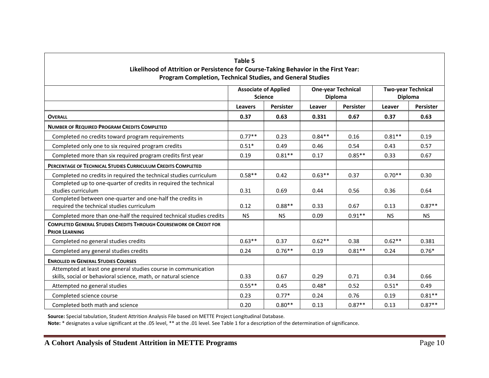| Table 5<br>Likelihood of Attrition or Persistence for Course-Taking Behavior in the First Year:<br>Program Completion, Technical Studies, and General Studies |                             |                  |                           |                  |                           |                  |
|---------------------------------------------------------------------------------------------------------------------------------------------------------------|-----------------------------|------------------|---------------------------|------------------|---------------------------|------------------|
|                                                                                                                                                               | <b>Associate of Applied</b> |                  | <b>One-year Technical</b> |                  | <b>Two-year Technical</b> |                  |
|                                                                                                                                                               | <b>Science</b>              |                  | <b>Diploma</b>            |                  | <b>Diploma</b>            |                  |
|                                                                                                                                                               | <b>Leavers</b>              | <b>Persister</b> | Leaver                    | <b>Persister</b> | Leaver                    | <b>Persister</b> |
| <b>OVERALL</b>                                                                                                                                                | 0.37                        | 0.63             | 0.331                     | 0.67             | 0.37                      | 0.63             |
| <b>NUMBER OF REQUIRED PROGRAM CREDITS COMPLETED</b>                                                                                                           |                             |                  |                           |                  |                           |                  |
| Completed no credits toward program requirements                                                                                                              | $0.77**$                    | 0.23             | $0.84**$                  | 0.16             | $0.81**$                  | 0.19             |
| Completed only one to six required program credits                                                                                                            | $0.51*$                     | 0.49             | 0.46                      | 0.54             | 0.43                      | 0.57             |
| Completed more than six required program credits first year                                                                                                   | 0.19                        | $0.81**$         | 0.17                      | $0.85**$         | 0.33                      | 0.67             |
| PERCENTAGE OF TECHNICAL STUDIES CURRICULUM CREDITS COMPLETED                                                                                                  |                             |                  |                           |                  |                           |                  |
| Completed no credits in required the technical studies curriculum                                                                                             | $0.58**$                    | 0.42             | $0.63**$                  | 0.37             | $0.70**$                  | 0.30             |
| Completed up to one-quarter of credits in required the technical<br>studies curriculum                                                                        | 0.31                        | 0.69             | 0.44                      | 0.56             | 0.36                      | 0.64             |
| Completed between one-quarter and one-half the credits in<br>required the technical studies curriculum                                                        | 0.12                        | $0.88**$         | 0.33                      | 0.67             | 0.13                      | $0.87**$         |
| Completed more than one-half the required technical studies credits                                                                                           | <b>NS</b>                   | <b>NS</b>        | 0.09                      | $0.91**$         | <b>NS</b>                 | <b>NS</b>        |
| <b>COMPLETED GENERAL STUDIES CREDITS THROUGH COURSEWORK OR CREDIT FOR</b><br><b>PRIOR LEARNING</b>                                                            |                             |                  |                           |                  |                           |                  |
| Completed no general studies credits                                                                                                                          | $0.63**$                    | 0.37             | $0.62**$                  | 0.38             | $0.62**$                  | 0.381            |
| Completed any general studies credits                                                                                                                         | 0.24                        | $0.76***$        | 0.19                      | $0.81**$         | 0.24                      | $0.76*$          |
| <b>ENROLLED IN GENERAL STUDIES COURSES</b>                                                                                                                    |                             |                  |                           |                  |                           |                  |
| Attempted at least one general studies course in communication<br>skills, social or behavioral science, math, or natural science                              | 0.33                        | 0.67             | 0.29                      | 0.71             | 0.34                      | 0.66             |
| Attempted no general studies                                                                                                                                  | $0.55***$                   | 0.45             | $0.48*$                   | 0.52             | $0.51*$                   | 0.49             |
| Completed science course                                                                                                                                      | 0.23                        | $0.77*$          | 0.24                      | 0.76             | 0.19                      | $0.81**$         |
| Completed both math and science                                                                                                                               | 0.20                        | $0.80**$         | 0.13                      | $0.87**$         | 0.13                      | $0.87**$         |

**Note:** \* designates a value significant at the .05 level, \*\* at the .01 level. See Table 1 for a description of the determination of significance.

**A Cohort Analysis of Student Attrition in METTE Programs** Page 10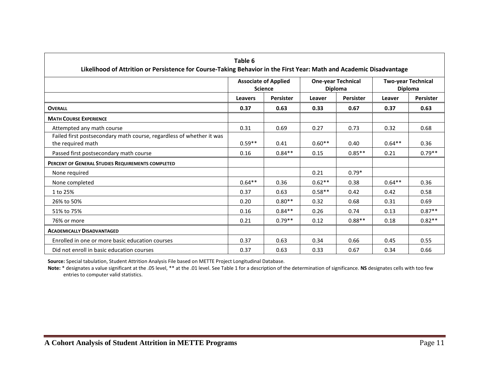| Table 6<br>Likelihood of Attrition or Persistence for Course-Taking Behavior in the First Year: Math and Academic Disadvantage |                                               |          |                                             |          |                  |                                             |
|--------------------------------------------------------------------------------------------------------------------------------|-----------------------------------------------|----------|---------------------------------------------|----------|------------------|---------------------------------------------|
|                                                                                                                                | <b>Associate of Applied</b><br><b>Science</b> |          | <b>One-year Technical</b><br><b>Diploma</b> |          |                  | <b>Two-year Technical</b><br><b>Diploma</b> |
|                                                                                                                                | Persister<br><b>Leavers</b><br>Leaver         |          | <b>Persister</b>                            | Leaver   | <b>Persister</b> |                                             |
| <b>OVERALL</b>                                                                                                                 | 0.37                                          | 0.63     | 0.33                                        | 0.67     | 0.37             | 0.63                                        |
| <b>MATH COURSE EXPERIENCE</b>                                                                                                  |                                               |          |                                             |          |                  |                                             |
| Attempted any math course                                                                                                      | 0.31                                          | 0.69     | 0.27                                        | 0.73     | 0.32             | 0.68                                        |
| Failed first postsecondary math course, regardless of whether it was<br>the required math                                      | $0.59**$                                      | 0.41     | $0.60**$                                    | 0.40     | $0.64***$        | 0.36                                        |
| Passed first postsecondary math course                                                                                         | 0.16                                          | $0.84**$ | 0.15                                        | $0.85**$ | 0.21             | $0.79**$                                    |
| PERCENT OF GENERAL STUDIES REQUIREMENTS COMPLETED                                                                              |                                               |          |                                             |          |                  |                                             |
| None required                                                                                                                  |                                               |          | 0.21                                        | $0.79*$  |                  |                                             |
| None completed                                                                                                                 | $0.64**$                                      | 0.36     | $0.62**$                                    | 0.38     | $0.64**$         | 0.36                                        |
| 1 to 25%                                                                                                                       | 0.37                                          | 0.63     | $0.58**$                                    | 0.42     | 0.42             | 0.58                                        |
| 26% to 50%                                                                                                                     | 0.20                                          | $0.80**$ | 0.32                                        | 0.68     | 0.31             | 0.69                                        |
| 51% to 75%                                                                                                                     | 0.16                                          | $0.84**$ | 0.26                                        | 0.74     | 0.13             | $0.87**$                                    |
| 76% or more                                                                                                                    | 0.21                                          | $0.79**$ | 0.12                                        | $0.88**$ | 0.18             | $0.82**$                                    |
| <b>ACADEMICALLY DISADVANTAGED</b>                                                                                              |                                               |          |                                             |          |                  |                                             |
| Enrolled in one or more basic education courses                                                                                | 0.37                                          | 0.63     | 0.34                                        | 0.66     | 0.45             | 0.55                                        |
| Did not enroll in basic education courses                                                                                      | 0.37                                          | 0.63     | 0.33                                        | 0.67     | 0.34             | 0.66                                        |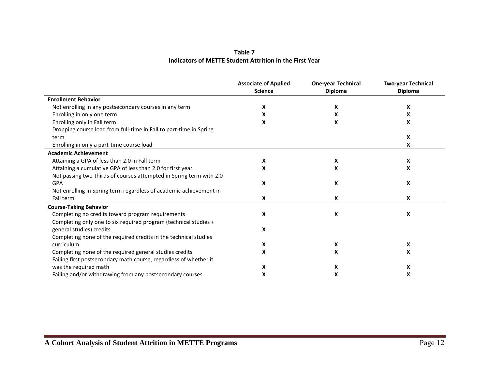| Table 7                                                 |  |
|---------------------------------------------------------|--|
| Indicators of METTE Student Attrition in the First Year |  |

|                                                                     | <b>Associate of Applied</b><br><b>Science</b> | <b>One-year Technical</b><br><b>Diploma</b> | <b>Two-year Technical</b><br><b>Diploma</b> |
|---------------------------------------------------------------------|-----------------------------------------------|---------------------------------------------|---------------------------------------------|
| <b>Enrollment Behavior</b>                                          |                                               |                                             |                                             |
| Not enrolling in any postsecondary courses in any term              | X                                             | X                                           | X                                           |
| Enrolling in only one term                                          | x                                             | X                                           | X                                           |
| Enrolling only in Fall term                                         | X                                             | X                                           | X                                           |
| Dropping course load from full-time in Fall to part-time in Spring  |                                               |                                             |                                             |
| term                                                                |                                               |                                             | X                                           |
| Enrolling in only a part-time course load                           |                                               |                                             | X                                           |
| <b>Academic Achievement</b>                                         |                                               |                                             |                                             |
| Attaining a GPA of less than 2.0 in Fall term                       | X                                             | X                                           | X                                           |
| Attaining a cumulative GPA of less than 2.0 for first year          | x                                             | X                                           | X                                           |
| Not passing two-thirds of courses attempted in Spring term with 2.0 |                                               |                                             |                                             |
| GPA                                                                 | X                                             | X                                           | X                                           |
| Not enrolling in Spring term regardless of academic achievement in  |                                               |                                             |                                             |
| Fall term                                                           | X                                             | X                                           | X                                           |
| <b>Course-Taking Behavior</b>                                       |                                               |                                             |                                             |
| Completing no credits toward program requirements                   | X                                             | X                                           | X                                           |
| Completing only one to six required program (technical studies +    |                                               |                                             |                                             |
| general studies) credits                                            | X                                             |                                             |                                             |
| Completing none of the required credits in the technical studies    |                                               |                                             |                                             |
| curriculum                                                          | X                                             | X                                           | X                                           |
| Completing none of the required general studies credits             | x                                             | X                                           | X                                           |
| Failing first postsecondary math course, regardless of whether it   |                                               |                                             |                                             |
| was the required math                                               | X                                             | X                                           | X                                           |
| Failing and/or withdrawing from any postsecondary courses           |                                               | X                                           | X                                           |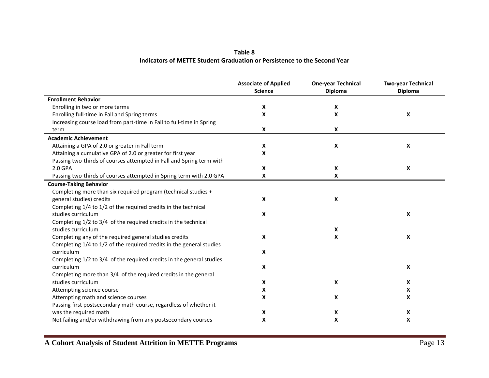## **Table 8 Indicators of METTE Student Graduation or Persistence to the Second Year**

|                                                                      | <b>Associate of Applied</b><br><b>Science</b> | <b>One-year Technical</b><br><b>Diploma</b> | <b>Two-year Technical</b><br><b>Diploma</b> |
|----------------------------------------------------------------------|-----------------------------------------------|---------------------------------------------|---------------------------------------------|
| <b>Enrollment Behavior</b>                                           |                                               |                                             |                                             |
| Enrolling in two or more terms                                       | X                                             | X                                           |                                             |
| Enrolling full-time in Fall and Spring terms                         | X                                             | X                                           |                                             |
|                                                                      |                                               |                                             | X                                           |
| Increasing course load from part-time in Fall to full-time in Spring |                                               |                                             |                                             |
| term                                                                 | X                                             | X                                           |                                             |
| <b>Academic Achievement</b>                                          |                                               |                                             |                                             |
| Attaining a GPA of 2.0 or greater in Fall term                       | X                                             | $\pmb{\mathsf{X}}$                          | $\boldsymbol{\mathsf{x}}$                   |
| Attaining a cumulative GPA of 2.0 or greater for first year          | X                                             |                                             |                                             |
| Passing two-thirds of courses attempted in Fall and Spring term with |                                               |                                             |                                             |
| 2.0 GPA                                                              | X                                             | $\pmb{\mathsf{X}}$                          | $\boldsymbol{\mathsf{x}}$                   |
| Passing two-thirds of courses attempted in Spring term with 2.0 GPA  | X                                             | X                                           |                                             |
| <b>Course-Taking Behavior</b>                                        |                                               |                                             |                                             |
| Completing more than six required program (technical studies +       |                                               |                                             |                                             |
| general studies) credits                                             | $\boldsymbol{\mathsf{x}}$                     | X                                           |                                             |
| Completing 1/4 to 1/2 of the required credits in the technical       |                                               |                                             |                                             |
| studies curriculum                                                   | $\boldsymbol{\mathsf{x}}$                     |                                             | $\boldsymbol{\mathsf{X}}$                   |
| Completing 1/2 to 3/4 of the required credits in the technical       |                                               |                                             |                                             |
| studies curriculum                                                   |                                               | $\pmb{\mathsf{X}}$                          |                                             |
| Completing any of the required general studies credits               | $\boldsymbol{\mathsf{x}}$                     | X                                           | X                                           |
| Completing 1/4 to 1/2 of the required credits in the general studies |                                               |                                             |                                             |
| curriculum                                                           | $\boldsymbol{\mathsf{x}}$                     |                                             |                                             |
| Completing 1/2 to 3/4 of the required credits in the general studies |                                               |                                             |                                             |
| curriculum                                                           | $\boldsymbol{\mathsf{x}}$                     |                                             | X                                           |
| Completing more than 3/4 of the required credits in the general      |                                               |                                             |                                             |
| studies curriculum                                                   | X                                             | $\pmb{\mathsf{X}}$                          | X                                           |
| Attempting science course                                            | X                                             |                                             | X                                           |
| Attempting math and science courses                                  | X                                             | X                                           | X                                           |
| Passing first postsecondary math course, regardless of whether it    |                                               |                                             |                                             |
| was the required math                                                | X                                             | X                                           | X                                           |
| Not failing and/or withdrawing from any postsecondary courses        | X                                             | X                                           | X                                           |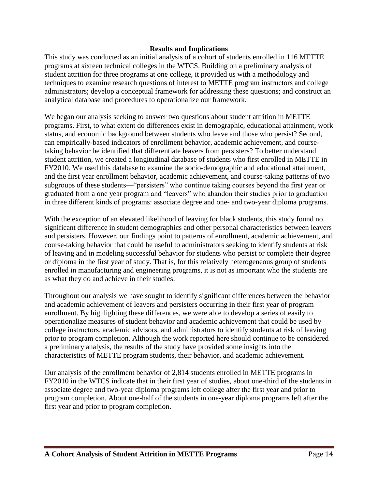## **Results and Implications**

This study was conducted as an initial analysis of a cohort of students enrolled in 116 METTE programs at sixteen technical colleges in the WTCS. Building on a preliminary analysis of student attrition for three programs at one college, it provided us with a methodology and techniques to examine research questions of interest to METTE program instructors and college administrators; develop a conceptual framework for addressing these questions; and construct an analytical database and procedures to operationalize our framework.

We began our analysis seeking to answer two questions about student attrition in METTE programs. First, to what extent do differences exist in demographic, educational attainment, work status, and economic background between students who leave and those who persist? Second, can empirically-based indicators of enrollment behavior, academic achievement, and coursetaking behavior be identified that differentiate leavers from persisters? To better understand student attrition, we created a longitudinal database of students who first enrolled in METTE in FY2010. We used this database to examine the socio-demographic and educational attainment, and the first year enrollment behavior, academic achievement, and course-taking patterns of two subgroups of these students—"persisters" who continue taking courses beyond the first year or graduated from a one year program and "leavers" who abandon their studies prior to graduation in three different kinds of programs: associate degree and one- and two-year diploma programs.

With the exception of an elevated likelihood of leaving for black students, this study found no significant difference in student demographics and other personal characteristics between leavers and persisters. However, our findings point to patterns of enrollment, academic achievement, and course-taking behavior that could be useful to administrators seeking to identify students at risk of leaving and in modeling successful behavior for students who persist or complete their degree or diploma in the first year of study. That is, for this relatively heterogeneous group of students enrolled in manufacturing and engineering programs, it is not as important who the students are as what they do and achieve in their studies.

Throughout our analysis we have sought to identify significant differences between the behavior and academic achievement of leavers and persisters occurring in their first year of program enrollment. By highlighting these differences, we were able to develop a series of easily to operationalize measures of student behavior and academic achievement that could be used by college instructors, academic advisors, and administrators to identify students at risk of leaving prior to program completion. Although the work reported here should continue to be considered a preliminary analysis, the results of the study have provided some insights into the characteristics of METTE program students, their behavior, and academic achievement.

Our analysis of the enrollment behavior of 2,814 students enrolled in METTE programs in FY2010 in the WTCS indicate that in their first year of studies, about one-third of the students in associate degree and two-year diploma programs left college after the first year and prior to program completion. About one-half of the students in one-year diploma programs left after the first year and prior to program completion.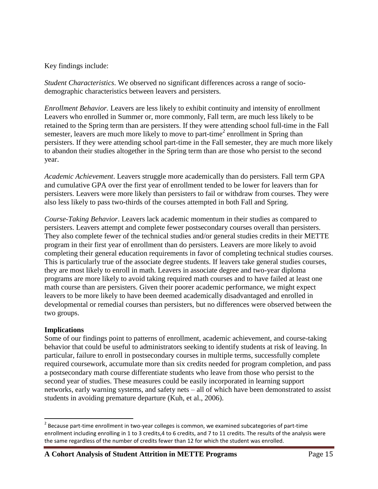## Key findings include:

*Student Characteristics*. We observed no significant differences across a range of sociodemographic characteristics between leavers and persisters.

*Enrollment Behavior.* Leavers are less likely to exhibit continuity and intensity of enrollment Leavers who enrolled in Summer or, more commonly, Fall term, are much less likely to be retained to the Spring term than are persisters. If they were attending school full-time in the Fall semester, leavers are much more likely to move to part-time<sup>2</sup> enrollment in Spring than persisters. If they were attending school part-time in the Fall semester, they are much more likely to abandon their studies altogether in the Spring term than are those who persist to the second year.

*Academic Achievement*. Leavers struggle more academically than do persisters. Fall term GPA and cumulative GPA over the first year of enrollment tended to be lower for leavers than for persisters. Leavers were more likely than persisters to fail or withdraw from courses. They were also less likely to pass two-thirds of the courses attempted in both Fall and Spring.

*Course-Taking Behavior*. Leavers lack academic momentum in their studies as compared to persisters. Leavers attempt and complete fewer postsecondary courses overall than persisters. They also complete fewer of the technical studies and/or general studies credits in their METTE program in their first year of enrollment than do persisters. Leavers are more likely to avoid completing their general education requirements in favor of completing technical studies courses. This is particularly true of the associate degree students. If leavers take general studies courses, they are most likely to enroll in math. Leavers in associate degree and two-year diploma programs are more likely to avoid taking required math courses and to have failed at least one math course than are persisters. Given their poorer academic performance, we might expect leavers to be more likely to have been deemed academically disadvantaged and enrolled in developmental or remedial courses than persisters, but no differences were observed between the two groups.

### **Implications**

 $\overline{\phantom{a}}$ 

Some of our findings point to patterns of enrollment, academic achievement, and course-taking behavior that could be useful to administrators seeking to identify students at risk of leaving. In particular, failure to enroll in postsecondary courses in multiple terms, successfully complete required coursework, accumulate more than six credits needed for program completion, and pass a postsecondary math course differentiate students who leave from those who persist to the second year of studies. These measures could be easily incorporated in learning support networks, early warning systems, and safety nets – all of which have been demonstrated to assist students in avoiding premature departure (Kuh, et al., 2006).

 $2$  Because part-time enrollment in two-year colleges is common, we examined subcategories of part-time enrollment including enrolling in 1 to 3 credits,4 to 6 credits, and 7 to 11 credits. The results of the analysis were the same regardless of the number of credits fewer than 12 for which the student was enrolled.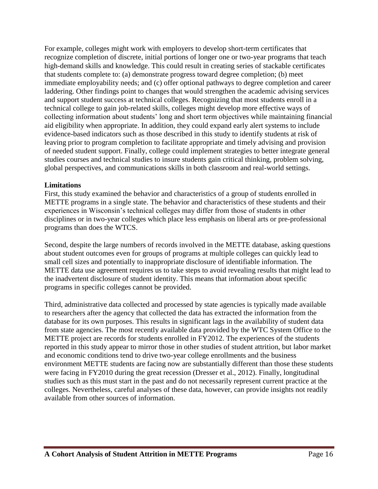For example, colleges might work with employers to develop short-term certificates that recognize completion of discrete, initial portions of longer one or two-year programs that teach high-demand skills and knowledge. This could result in creating series of stackable certificates that students complete to: (a) demonstrate progress toward degree completion; (b) meet immediate employability needs; and (c) offer optional pathways to degree completion and career laddering. Other findings point to changes that would strengthen the academic advising services and support student success at technical colleges. Recognizing that most students enroll in a technical college to gain job-related skills, colleges might develop more effective ways of collecting information about students' long and short term objectives while maintaining financial aid eligibility when appropriate. In addition, they could expand early alert systems to include evidence-based indicators such as those described in this study to identify students at risk of leaving prior to program completion to facilitate appropriate and timely advising and provision of needed student support. Finally, college could implement strategies to better integrate general studies courses and technical studies to insure students gain critical thinking, problem solving, global perspectives, and communications skills in both classroom and real-world settings.

## **Limitations**

First, this study examined the behavior and characteristics of a group of students enrolled in METTE programs in a single state. The behavior and characteristics of these students and their experiences in Wisconsin's technical colleges may differ from those of students in other disciplines or in two-year colleges which place less emphasis on liberal arts or pre-professional programs than does the WTCS.

Second, despite the large numbers of records involved in the METTE database, asking questions about student outcomes even for groups of programs at multiple colleges can quickly lead to small cell sizes and potentially to inappropriate disclosure of identifiable information. The METTE data use agreement requires us to take steps to avoid revealing results that might lead to the inadvertent disclosure of student identity. This means that information about specific programs in specific colleges cannot be provided.

Third, administrative data collected and processed by state agencies is typically made available to researchers after the agency that collected the data has extracted the information from the database for its own purposes. This results in significant lags in the availability of student data from state agencies. The most recently available data provided by the WTC System Office to the METTE project are records for students enrolled in FY2012. The experiences of the students reported in this study appear to mirror those in other studies of student attrition, but labor market and economic conditions tend to drive two-year college enrollments and the business environment METTE students are facing now are substantially different than those these students were facing in FY2010 during the great recession (Dresser et al., 2012). Finally, longitudinal studies such as this must start in the past and do not necessarily represent current practice at the colleges. Nevertheless, careful analyses of these data, however, can provide insights not readily available from other sources of information.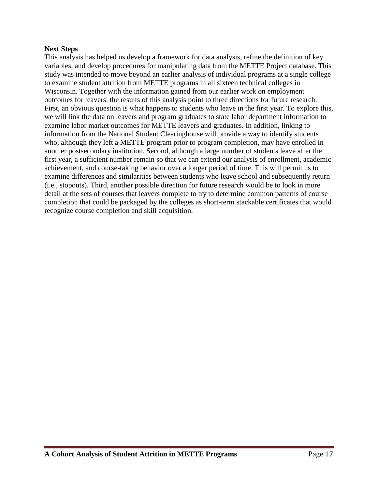## **Next Steps**

This analysis has helped us develop a framework for data analysis, refine the definition of key variables, and develop procedures for manipulating data from the METTE Project database. This study was intended to move beyond an earlier analysis of individual programs at a single college to examine student attrition from METTE programs in all sixteen technical colleges in Wisconsin. Together with the information gained from our earlier work on employment outcomes for leavers, the results of this analysis point to three directions for future research. First, an obvious question is what happens to students who leave in the first year. To explore this, we will link the data on leavers and program graduates to state labor department information to examine labor market outcomes for METTE leavers and graduates. In addition, linking to information from the National Student Clearinghouse will provide a way to identify students who, although they left a METTE program prior to program completion, may have enrolled in another postsecondary institution. Second, although a large number of students leave after the first year, a sufficient number remain so that we can extend our analysis of enrollment, academic achievement, and course-taking behavior over a longer period of time. This will permit us to examine differences and similarities between students who leave school and subsequently return (i.e., stopouts). Third, another possible direction for future research would be to look in more detail at the sets of courses that leavers complete to try to determine common patterns of course completion that could be packaged by the colleges as short-term stackable certificates that would recognize course completion and skill acquisition.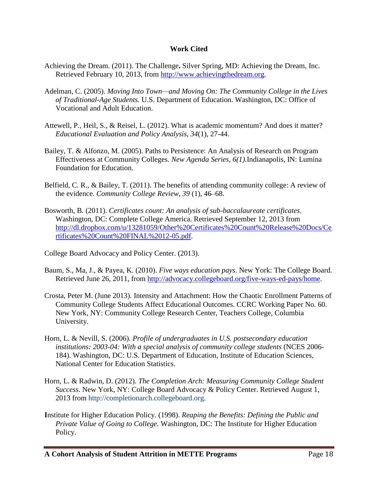## **Work Cited**

- Achieving the Dream. (2011). The Challenge**.** Silver Spring, MD: Achieving the Dream, Inc. Retrieved February 10, 2013, from [http://www.achievingthedream.org.](http://www.achievingthedream.org/)
- Adelman, C. (2005). *Moving Into Town—and Moving On: The Community College in the Lives of Traditional-Age Students.* U.S. Department of Education. Washington, DC: Office of Vocational and Adult Education.
- Attewell, P., Heil, S., & Reisel, L. (2012). What is academic momentum? And does it matter? *Educational Evaluation and Policy Analysis, 34*(1), 27-44.
- Bailey, T. & Alfonzo, M. (2005). Paths to Persistence: An Analysis of Research on Program Effectiveness at Community Colleges. *New Agenda Series, 6(1).*Indianapolis, IN: Lumina Foundation for Education.
- Belfield, C. R., & Bailey, T. (2011). The benefits of attending community college: A review of the evidence. *Community College Review, 39* (1), 46–68.
- Bosworth, B. (2011). *Certificates count: An analysis of sub-baccalaureate certificates*. Washington, DC: Complete College America. Retrieved September 12, 2013 from [http://dl.dropbox.com/u/13281059/Other%20Certificates%20Count%20Release%20Docs/Ce](http://dl.dropbox.com/u/13281059/Other%20Certificates%20Count%20Release%20Docs/Certificates%20Count%20FINAL%2012-05.pdf) [rtificates%20Count%20FINAL%2012-05.pdf.](http://dl.dropbox.com/u/13281059/Other%20Certificates%20Count%20Release%20Docs/Certificates%20Count%20FINAL%2012-05.pdf)

College Board Advocacy and Policy Center. (2013).

- Baum, S., Ma, J., & Payea, K. (2010). *Five ways education pays*. New York: The College Board. Retrieved June 26, 2011, from [http://advocacy.collegeboard.org/five-ways-ed-pays/home.](http://advocacy.collegeboard.org/five-ways-ed-pays/home)
- Crosta, Peter M. (June 2013). Intensity and Attachment: How the Chaotic Enrollment Patterns of Community College Students Affect Educational Outcomes. CCRC Working Paper No. 60. New York, NY: Community College Research Center, Teachers College, Columbia University.
- Horn, L. & Nevill, S. (2006). *Profile of undergraduates in U.S. postsecondary education*  institutions: 2003-04: With a special analysis of community college students (NCES 2006-184). Washington, DC: U.S. Department of Education, Institute of Education Sciences, National Center for Education Statistics.
- Horn, L. & Radwin, D. (2012). *The Completion Arch: Measuring Community College Student Success*. New York, NY: College Board Advocacy & Policy Center. Retrieved August 1, 2013 from http://completionarch.collegeboard.org.
- **I**nstitute for Higher Education Policy. (1998). *Reaping the Benefits: Defining the Public and Private Value of Going to College.* Washington, DC: The Institute for Higher Education Policy.